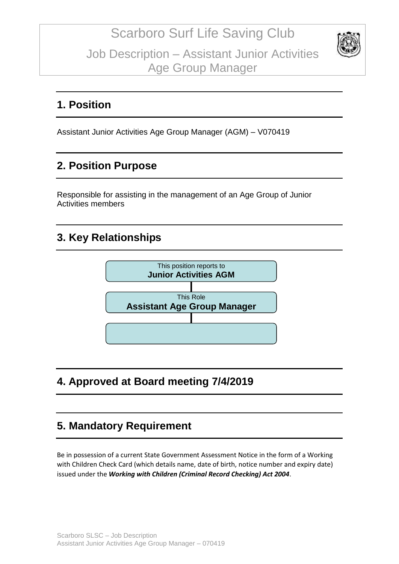

### **1. Position**

Assistant Junior Activities Age Group Manager (AGM) – V070419

## **2. Position Purpose**

Responsible for assisting in the management of an Age Group of Junior Activities members

### **3. Key Relationships**



# **4. Approved at Board meeting 7/4/2019**

## **5. Mandatory Requirement**

Be in possession of a current State Government Assessment Notice in the form of a Working with Children Check Card (which details name, date of birth, notice number and expiry date) issued under the *Working with Children (Criminal Record Checking) Act 2004*.